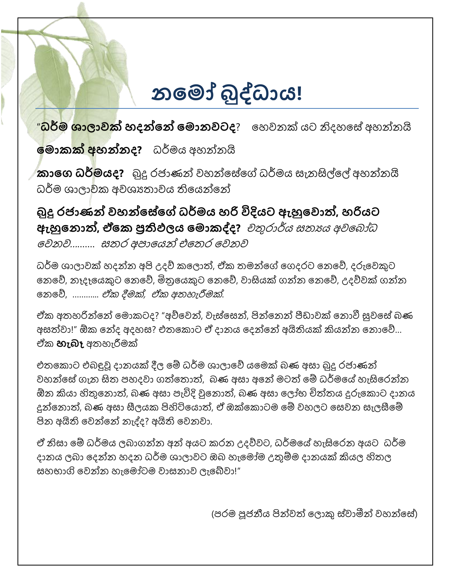## **නම ෝ බුද්ධාය!**

<mark>"ධර්ම ශාලාවක් හදන්නේ මොනවටද</mark>? හෙවනක් යට නිදහසේ අහන්නයි

**ම ොකක් අහන්නද?** ධර්මය අෙන්නයි

**කාමෙ ධර් යද?** බුදු රජාණන් වෙන්හේහේ ධර්මය සැනසිල්හල් අෙන්නයි ධර්ම ශාලාවක අවශානාවය තියෙන්නේ

**බුදු රජාණන් වහන්මේමේ ධර් ය හරි විදියට ඇහුමවොත්, හරියට ඇහුමනොත්, ඒමක ප්රතිඵලලය ම ොකද්ද?** චතුරාර්ය සතායය අවහ ෝධ හවනව………. සතාර අපාහයන් එහතාර හවනව

ධර්ම ශාලාවක් හදන්න අපි උදව් කලොත්, ඒක තමන්ගේ ගෙදරට නෙවේ, දරුවෙකුට නෙවේ, නෑදෑයෙකුට නෙවේ, මිතුයෙකුට නෙවේ, වාසියක් ගන්න නෙවේ, උදව්වක් ගන්න නෙවේ, ……….. *ඒක දීමක්, ඒක අතහැරීමක්*.

ඒක අතහරින්නේ මොකටද? "අව්වෙන්, වැස්සෙන්, පින්නෙන් පීඩාවක් නොවී සුවසේ බණ අසත්වා!" ඕක හන්ද අදෙස? එතාහකොට ඒ දානය හදන්හන් අයිියයක් කියන්න හනොහව්… ඒක **හැබෑ** අතාෙැරීමක්

එතාහකොට එ ඳුවූ දානයක් දීල හේ ධර්ම ශාලාහව් යහමක් ණ අසා බුදු රජාණන් වහන්සේ ගැන සිත පහදවා ගත්තොත්, බණ අසා අනේ මටත් මේ ධර්මයේ හැසිරෙන්න ඕන කියා හිතුහනොත්, ණ අසා පැවිදි වුහනොත්, ණ අසා හලෝභ චිත්තාය දුරුහකොට දානය දුන්හනොත්, ණ අසා සීලයක පිහිටිහයොත්, ඒ ඔක්හකොටම හේ වෙලට හසවන සැලසීහේ පින අයිති වෙන්නේ නැද්ද? අයිති වෙනවා.

ඒ නිසා මේ ධර්මය ලබාගන්න අන් අයට කරන උදව්වට, ධර්මයේ හැසිරෙන අයට ධර්ම දානය ලබා දෙන්න හදන ධර්ම ශාලාවට ඔබ හැමෝම උතුම්ම දානයක් කියල හිතල සෙභාගි හවන්න ෙැහමෝටම වාසනාව ලැහේවා!"

(පරම පූජනීය පින්වත් හලොකු ේවාමීන් වෙන්හේ)